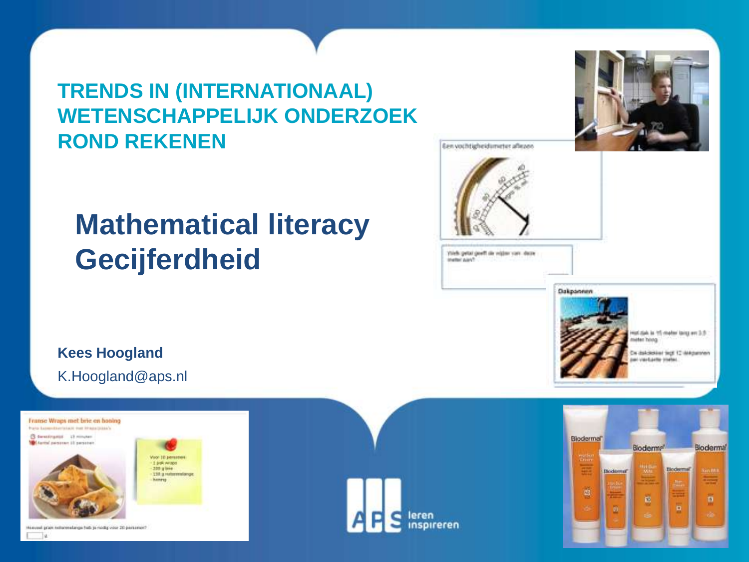#### **TRENDS IN (INTERNATIONAAL) WETENSCHAPPELIJK ONDERZOEK ROND REKENEN**

#### **Mathematical literacy Gecijferdheid**



fier vochtigheiduneter aflezen

Install away!



#### **Kees Hoogland** K.Hoogland@aps.nl









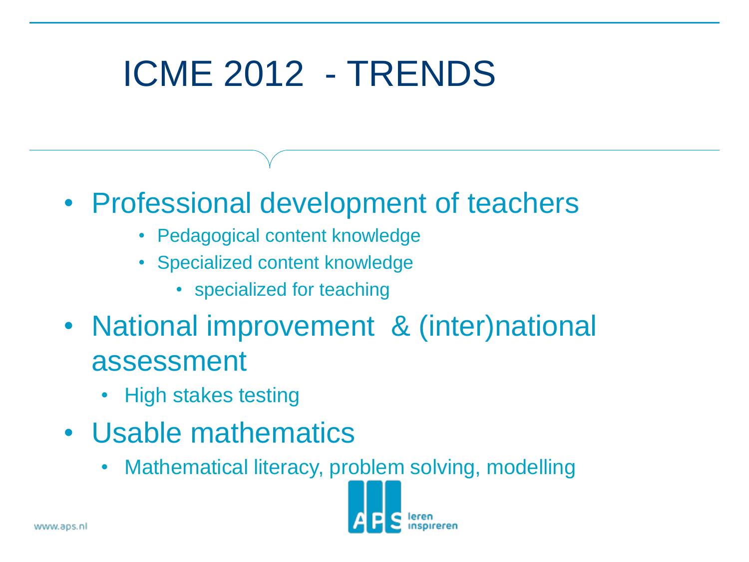# ICME 2012 - TRENDS

- Professional development of teachers
	- Pedagogical content knowledge
	- Specialized content knowledge
		- specialized for teaching
- National improvement & (inter)national assessment
	- High stakes testing
- Usable mathematics
	- Mathematical literacy, problem solving, modelling

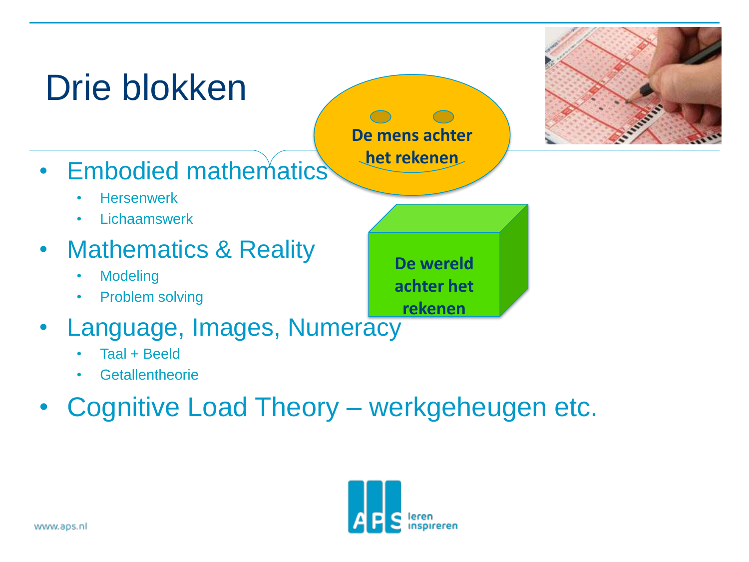

- **Getallentheorie**
- Cognitive Load Theory werkgeheugen etc.

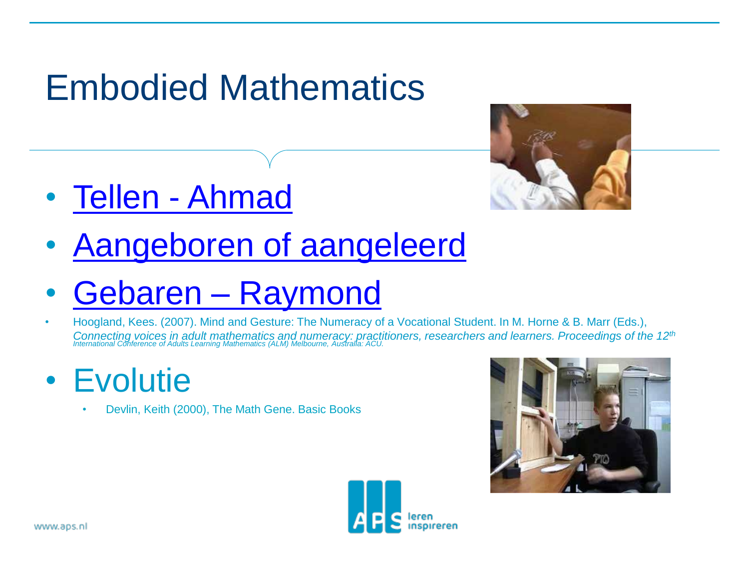# Embodied Mathematics



- [Tellen -](video 2006 11 24 IND fingers and toes.avi) [Ahmad](video 2006 11 24 IND fingers and toes.avi)
- [Aangeboren of aangeleerd](Sub Aangeboren en aangeleerd.ppt)
- [Gebaren –](video 2004 11 18 Kozijn voor Reehorst.wmv) [Raymond](video 2004 11 18 Kozijn voor Reehorst.wmv)
- Hoogland, Kees. (2007). Mind and Gesture: The Numeracy of a Vocational Student. In M. Horne & B. Marr (Eds.), Connecting voices in adult mathematics and numeracy: practitioners, researchers and learners. Proceedings of the 12<sup>th</sup><br>International Conference of Adults Learning Mathematics (ALM) Melbourne, Australia: ACU.
- Evolutie
	- Devlin, Keith (2000), The Math Gene. Basic Books



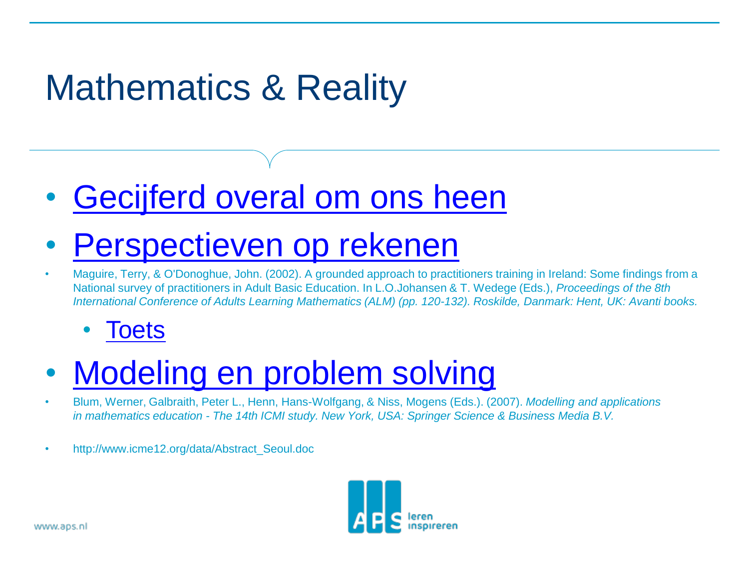# Mathematics & Reality

#### • [Gecijferd overal om ons heen](sub Gecijferdheid overal om je heen.ppt)

## • [Perspectieven op rekenen](Sub Sophistication of numeracy conepts.ppt)

• Maguire, Terry, & O'Donoghue, John. (2002). A grounded approach to practitioners training in Ireland: Some findings from a National survey of practitioners in Adult Basic Education. In L.O.Johansen & T. Wedege (Eds.), *Proceedings of the 8th International Conference of Adults Learning Mathematics (ALM) (pp. 120-132). Roskilde, Danmark: Hent, UK: Avanti books.*

#### **[Toets](Sub Toets voor framework Gecijferdheid NL.ppt)**

## • [Modeling en problem solving](Sub Modeling and problem solving.pptx)

- Blum, Werner, Galbraith, Peter L., Henn, Hans-Wolfgang, & Niss, Mogens (Eds.). (2007). *Modelling and applications in mathematics education - The 14th ICMI study. New York, USA: Springer Science & Business Media B.V.*
- http://www.icme12.org/data/Abstract\_Seoul.doc